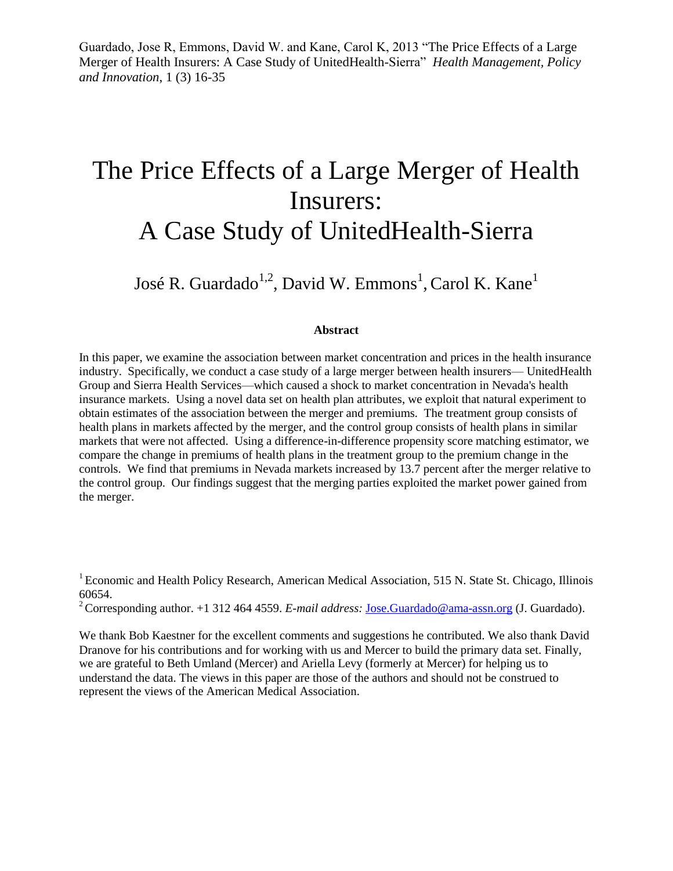Guardado, Jose R, Emmons, David W. and Kane, Carol K, 2013 "The Price Effects of a Large Merger of Health Insurers: A Case Study of UnitedHealth-Sierra" *Health Management, Policy and Innovation*, 1 (3) 16-35

# The Price Effects of a Large Merger of Health Insurers: A Case Study of UnitedHealth-Sierra

José R. Guardado $^{1,2}$ , David W. Emmons $^{1}$ , Carol K. Kane $^{1}$ 

#### **Abstract**

In this paper, we examine the association between market concentration and prices in the health insurance industry. Specifically, we conduct a case study of a large merger between health insurers— UnitedHealth Group and Sierra Health Services—which caused a shock to market concentration in Nevada's health insurance markets. Using a novel data set on health plan attributes, we exploit that natural experiment to obtain estimates of the association between the merger and premiums. The treatment group consists of health plans in markets affected by the merger, and the control group consists of health plans in similar markets that were not affected. Using a difference-in-difference propensity score matching estimator, we compare the change in premiums of health plans in the treatment group to the premium change in the controls. We find that premiums in Nevada markets increased by 13.7 percent after the merger relative to the control group. Our findings suggest that the merging parties exploited the market power gained from the merger.

 $1$  Economic and Health Policy Research, American Medical Association, 515 N. State St. Chicago, Illinois 60654.

<sup>2</sup> Corresponding author. +1 312 464 4559. *E-mail address: [Jose.Guardado@ama-assn.org](mailto:Jose.Guardado@ama-assn.org) (J. Guardado).* 

We thank Bob Kaestner for the excellent comments and suggestions he contributed. We also thank David Dranove for his contributions and for working with us and Mercer to build the primary data set. Finally, we are grateful to Beth Umland (Mercer) and Ariella Levy (formerly at Mercer) for helping us to understand the data. The views in this paper are those of the authors and should not be construed to represent the views of the American Medical Association.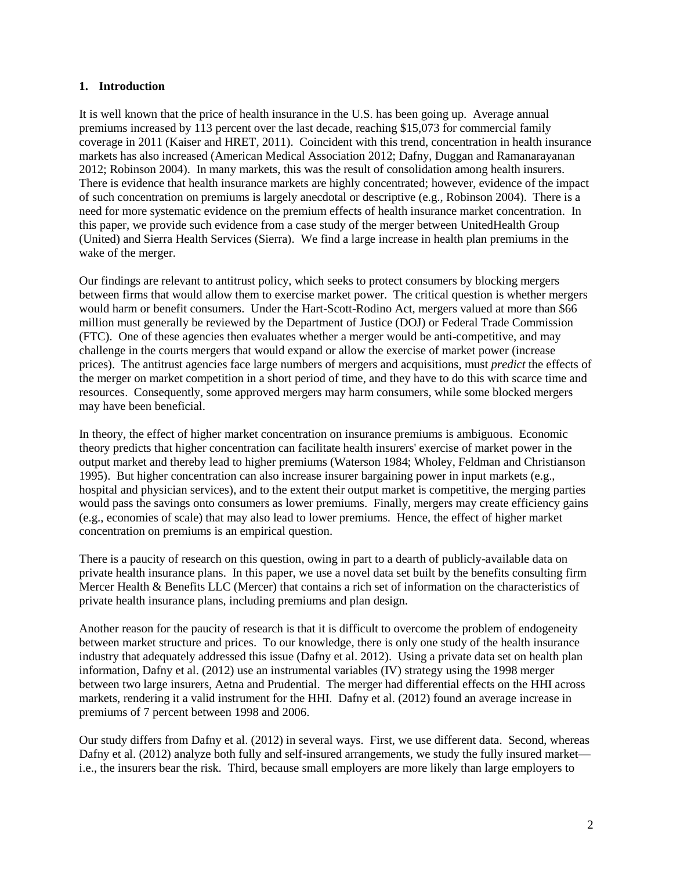## **1. Introduction**

It is well known that the price of health insurance in the U.S. has been going up. Average annual premiums increased by 113 percent over the last decade, reaching \$15,073 for commercial family coverage in 2011 (Kaiser and HRET, 2011). Coincident with this trend, concentration in health insurance markets has also increased (American Medical Association 2012; Dafny, Duggan and Ramanarayanan 2012; Robinson 2004). In many markets, this was the result of consolidation among health insurers. There is evidence that health insurance markets are highly concentrated; however, evidence of the impact of such concentration on premiums is largely anecdotal or descriptive (e.g., Robinson 2004). There is a need for more systematic evidence on the premium effects of health insurance market concentration. In this paper, we provide such evidence from a case study of the merger between UnitedHealth Group (United) and Sierra Health Services (Sierra). We find a large increase in health plan premiums in the wake of the merger.

Our findings are relevant to antitrust policy, which seeks to protect consumers by blocking mergers between firms that would allow them to exercise market power. The critical question is whether mergers would harm or benefit consumers. Under the Hart-Scott-Rodino Act, mergers valued at more than \$66 million must generally be reviewed by the Department of Justice (DOJ) or Federal Trade Commission (FTC). One of these agencies then evaluates whether a merger would be anti-competitive, and may challenge in the courts mergers that would expand or allow the exercise of market power (increase prices). The antitrust agencies face large numbers of mergers and acquisitions, must *predict* the effects of the merger on market competition in a short period of time, and they have to do this with scarce time and resources. Consequently, some approved mergers may harm consumers, while some blocked mergers may have been beneficial.

In theory, the effect of higher market concentration on insurance premiums is ambiguous. Economic theory predicts that higher concentration can facilitate health insurers' exercise of market power in the output market and thereby lead to higher premiums (Waterson 1984; Wholey, Feldman and Christianson 1995). But higher concentration can also increase insurer bargaining power in input markets (e.g., hospital and physician services), and to the extent their output market is competitive, the merging parties would pass the savings onto consumers as lower premiums. Finally, mergers may create efficiency gains (e.g., economies of scale) that may also lead to lower premiums. Hence, the effect of higher market concentration on premiums is an empirical question.

There is a paucity of research on this question, owing in part to a dearth of publicly-available data on private health insurance plans. In this paper, we use a novel data set built by the benefits consulting firm Mercer Health & Benefits LLC (Mercer) that contains a rich set of information on the characteristics of private health insurance plans, including premiums and plan design.

Another reason for the paucity of research is that it is difficult to overcome the problem of endogeneity between market structure and prices. To our knowledge, there is only one study of the health insurance industry that adequately addressed this issue (Dafny et al. 2012). Using a private data set on health plan information, Dafny et al. (2012) use an instrumental variables (IV) strategy using the 1998 merger between two large insurers, Aetna and Prudential. The merger had differential effects on the HHI across markets, rendering it a valid instrument for the HHI. Dafny et al. (2012) found an average increase in premiums of 7 percent between 1998 and 2006.

Our study differs from Dafny et al. (2012) in several ways. First, we use different data. Second, whereas Dafny et al. (2012) analyze both fully and self-insured arrangements, we study the fully insured market i.e., the insurers bear the risk. Third, because small employers are more likely than large employers to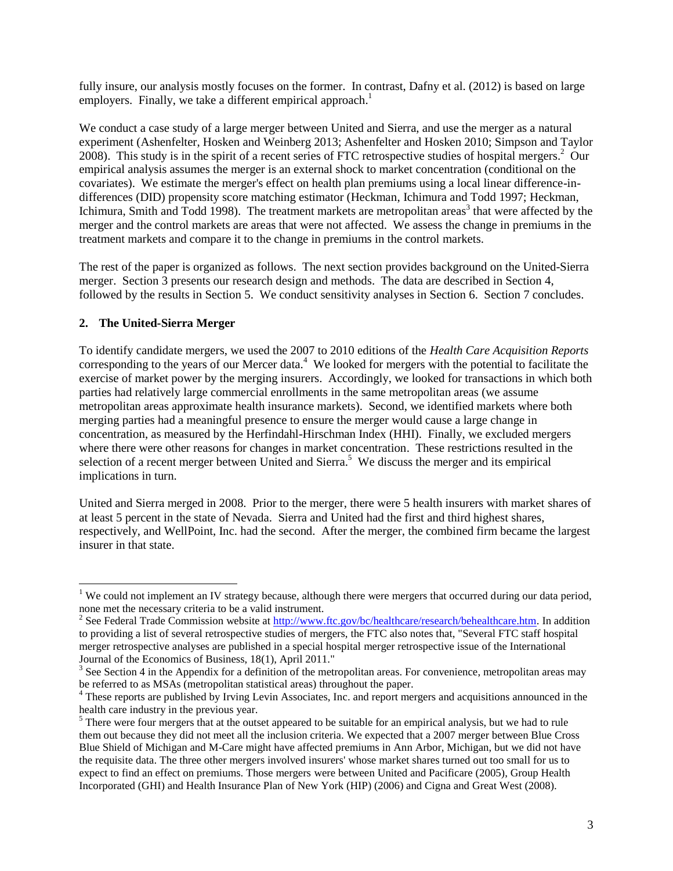fully insure, our analysis mostly focuses on the former. In contrast, Dafny et al. (2012) is based on large employers. Finally, we take a different empirical approach.<sup>1</sup>

We conduct a case study of a large merger between United and Sierra, and use the merger as a natural experiment (Ashenfelter, Hosken and Weinberg 2013; Ashenfelter and Hosken 2010; Simpson and Taylor 2008). This study is in the spirit of a recent series of FTC retrospective studies of hospital mergers.<sup>2</sup> Our empirical analysis assumes the merger is an external shock to market concentration (conditional on the covariates). We estimate the merger's effect on health plan premiums using a local linear difference-indifferences (DID) propensity score matching estimator (Heckman, Ichimura and Todd 1997; Heckman, Ichimura, Smith and Todd 1998). The treatment markets are metropolitan areas<sup>3</sup> that were affected by the merger and the control markets are areas that were not affected. We assess the change in premiums in the treatment markets and compare it to the change in premiums in the control markets.

The rest of the paper is organized as follows. The next section provides background on the United-Sierra merger. Section 3 presents our research design and methods. The data are described in Section 4, followed by the results in Section 5. We conduct sensitivity analyses in Section 6. Section 7 concludes.

## **2. The United-Sierra Merger**

 $\overline{a}$ 

To identify candidate mergers, we used the 2007 to 2010 editions of the *Health Care Acquisition Reports* corresponding to the years of our Mercer data.<sup>4</sup> We looked for mergers with the potential to facilitate the exercise of market power by the merging insurers. Accordingly, we looked for transactions in which both parties had relatively large commercial enrollments in the same metropolitan areas (we assume metropolitan areas approximate health insurance markets). Second, we identified markets where both merging parties had a meaningful presence to ensure the merger would cause a large change in concentration, as measured by the Herfindahl-Hirschman Index (HHI). Finally, we excluded mergers where there were other reasons for changes in market concentration. These restrictions resulted in the selection of a recent merger between United and Sierra.<sup>5</sup> We discuss the merger and its empirical implications in turn.

United and Sierra merged in 2008. Prior to the merger, there were 5 health insurers with market shares of at least 5 percent in the state of Nevada. Sierra and United had the first and third highest shares, respectively, and WellPoint, Inc. had the second. After the merger, the combined firm became the largest insurer in that state.

<sup>&</sup>lt;sup>1</sup> We could not implement an IV strategy because, although there were mergers that occurred during our data period, none met the necessary criteria to be a valid instrument.

<sup>&</sup>lt;sup>2</sup> See Federal Trade Commission website at [http://www.ftc.gov/bc/healthcare/research/behealthcare.htm.](http://www.ftc.gov/bc/healthcare/research/behealthcare.htm) In addition to providing a list of several retrospective studies of mergers, the FTC also notes that, "Several FTC staff hospital merger retrospective analyses are published in a special hospital merger retrospective issue of the International Journal of the Economics of Business, 18(1), April 2011."

 $3$  See Section 4 in the Appendix for a definition of the metropolitan areas. For convenience, metropolitan areas may be referred to as MSAs (metropolitan statistical areas) throughout the paper.

<sup>&</sup>lt;sup>4</sup> These reports are published by Irving Levin Associates, Inc. and report mergers and acquisitions announced in the health care industry in the previous year.

<sup>&</sup>lt;sup>5</sup> There were four mergers that at the outset appeared to be suitable for an empirical analysis, but we had to rule them out because they did not meet all the inclusion criteria. We expected that a 2007 merger between Blue Cross Blue Shield of Michigan and M-Care might have affected premiums in Ann Arbor, Michigan, but we did not have the requisite data. The three other mergers involved insurers' whose market shares turned out too small for us to expect to find an effect on premiums. Those mergers were between United and Pacificare (2005), Group Health Incorporated (GHI) and Health Insurance Plan of New York (HIP) (2006) and Cigna and Great West (2008).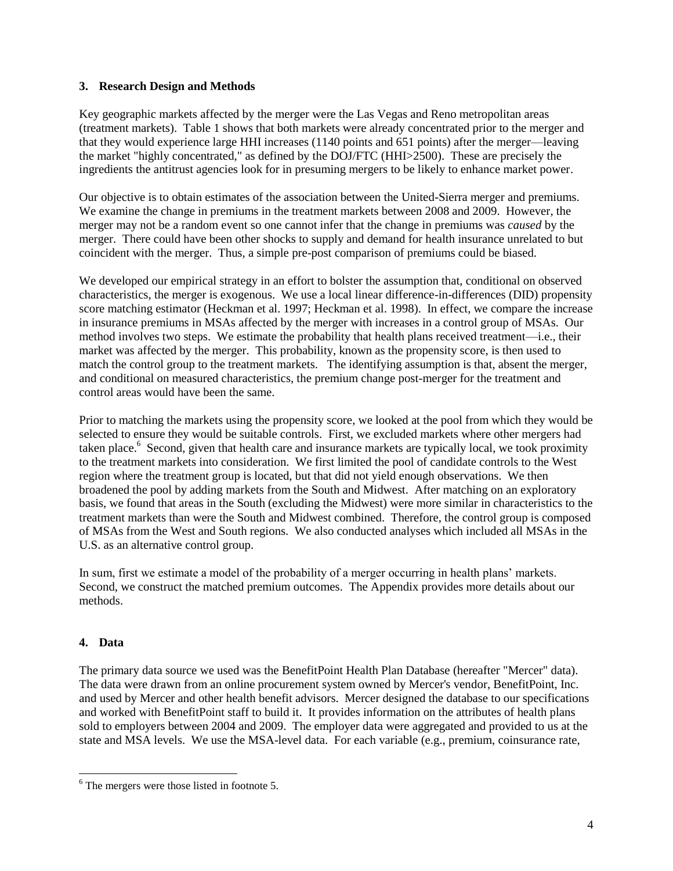## **3. Research Design and Methods**

Key geographic markets affected by the merger were the Las Vegas and Reno metropolitan areas (treatment markets). Table 1 shows that both markets were already concentrated prior to the merger and that they would experience large HHI increases (1140 points and 651 points) after the merger—leaving the market "highly concentrated," as defined by the DOJ/FTC (HHI>2500). These are precisely the ingredients the antitrust agencies look for in presuming mergers to be likely to enhance market power.

Our objective is to obtain estimates of the association between the United-Sierra merger and premiums. We examine the change in premiums in the treatment markets between 2008 and 2009. However, the merger may not be a random event so one cannot infer that the change in premiums was *caused* by the merger. There could have been other shocks to supply and demand for health insurance unrelated to but coincident with the merger. Thus, a simple pre-post comparison of premiums could be biased.

We developed our empirical strategy in an effort to bolster the assumption that, conditional on observed characteristics, the merger is exogenous. We use a local linear difference-in-differences (DID) propensity score matching estimator (Heckman et al. 1997; Heckman et al. 1998). In effect, we compare the increase in insurance premiums in MSAs affected by the merger with increases in a control group of MSAs. Our method involves two steps. We estimate the probability that health plans received treatment—i.e., their market was affected by the merger. This probability, known as the propensity score, is then used to match the control group to the treatment markets. The identifying assumption is that, absent the merger, and conditional on measured characteristics, the premium change post-merger for the treatment and control areas would have been the same.

Prior to matching the markets using the propensity score, we looked at the pool from which they would be selected to ensure they would be suitable controls. First, we excluded markets where other mergers had taken place.<sup>6</sup> Second, given that health care and insurance markets are typically local, we took proximity to the treatment markets into consideration. We first limited the pool of candidate controls to the West region where the treatment group is located, but that did not yield enough observations. We then broadened the pool by adding markets from the South and Midwest. After matching on an exploratory basis, we found that areas in the South (excluding the Midwest) were more similar in characteristics to the treatment markets than were the South and Midwest combined. Therefore, the control group is composed of MSAs from the West and South regions. We also conducted analyses which included all MSAs in the U.S. as an alternative control group.

In sum, first we estimate a model of the probability of a merger occurring in health plans' markets. Second, we construct the matched premium outcomes. The Appendix provides more details about our methods.

# **4. Data**

l

The primary data source we used was the BenefitPoint Health Plan Database (hereafter "Mercer" data). The data were drawn from an online procurement system owned by Mercer's vendor, BenefitPoint, Inc. and used by Mercer and other health benefit advisors. Mercer designed the database to our specifications and worked with BenefitPoint staff to build it. It provides information on the attributes of health plans sold to employers between 2004 and 2009. The employer data were aggregated and provided to us at the state and MSA levels. We use the MSA-level data. For each variable (e.g., premium, coinsurance rate,

 $6$ <sup>6</sup> The mergers were those listed in footnote 5.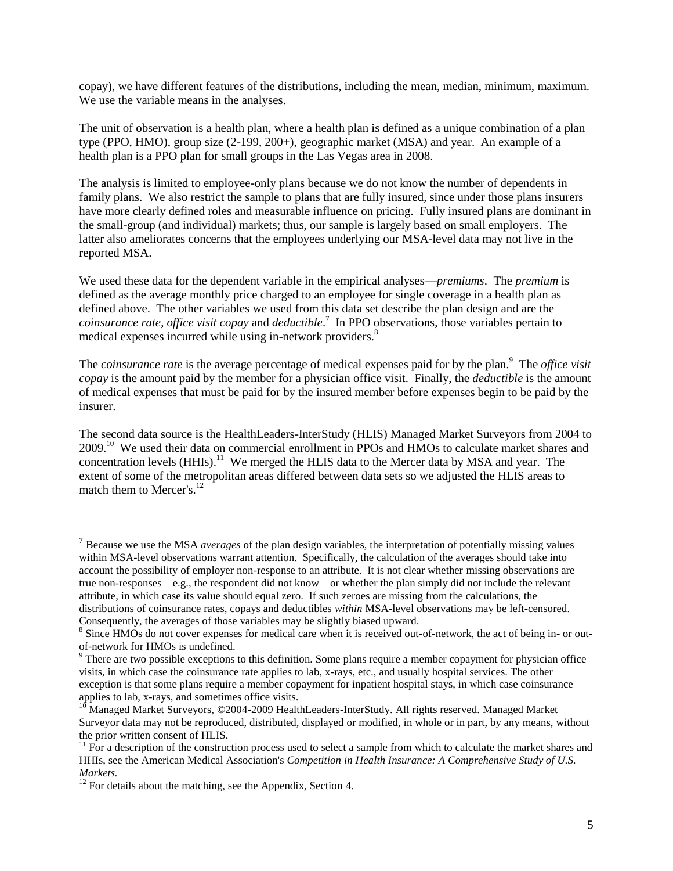copay), we have different features of the distributions, including the mean, median, minimum, maximum. We use the variable means in the analyses.

The unit of observation is a health plan, where a health plan is defined as a unique combination of a plan type (PPO, HMO), group size (2-199, 200+), geographic market (MSA) and year. An example of a health plan is a PPO plan for small groups in the Las Vegas area in 2008.

The analysis is limited to employee-only plans because we do not know the number of dependents in family plans. We also restrict the sample to plans that are fully insured, since under those plans insurers have more clearly defined roles and measurable influence on pricing. Fully insured plans are dominant in the small-group (and individual) markets; thus, our sample is largely based on small employers. The latter also ameliorates concerns that the employees underlying our MSA-level data may not live in the reported MSA.

We used these data for the dependent variable in the empirical analyses—*premiums*. The *premium* is defined as the average monthly price charged to an employee for single coverage in a health plan as defined above. The other variables we used from this data set describe the plan design and are the *coinsurance rate*, *office visit copay* and *deductible*. 7 In PPO observations, those variables pertain to medical expenses incurred while using in-network providers.<sup>8</sup>

The *coinsurance rate* is the average percentage of medical expenses paid for by the plan.<sup>9</sup> The *office visit copay* is the amount paid by the member for a physician office visit. Finally, the *deductible* is the amount of medical expenses that must be paid for by the insured member before expenses begin to be paid by the insurer.

The second data source is the HealthLeaders-InterStudy (HLIS) Managed Market Surveyors from 2004 to 2009.<sup>10</sup> We used their data on commercial enrollment in PPOs and HMOs to calculate market shares and concentration levels (HHIs).<sup>11</sup> We merged the HLIS data to the Mercer data by MSA and year. The extent of some of the metropolitan areas differed between data sets so we adjusted the HLIS areas to match them to Mercer's.<sup>12</sup>

l

<sup>7</sup> Because we use the MSA *averages* of the plan design variables, the interpretation of potentially missing values within MSA-level observations warrant attention. Specifically, the calculation of the averages should take into account the possibility of employer non-response to an attribute. It is not clear whether missing observations are true non-responses—e.g., the respondent did not know—or whether the plan simply did not include the relevant attribute, in which case its value should equal zero. If such zeroes are missing from the calculations, the distributions of coinsurance rates, copays and deductibles *within* MSA-level observations may be left-censored. Consequently, the averages of those variables may be slightly biased upward.

<sup>&</sup>lt;sup>8</sup> Since HMOs do not cover expenses for medical care when it is received out-of-network, the act of being in- or outof-network for HMOs is undefined.

<sup>&</sup>lt;sup>9</sup> There are two possible exceptions to this definition. Some plans require a member copayment for physician office visits, in which case the coinsurance rate applies to lab, x-rays, etc., and usually hospital services. The other exception is that some plans require a member copayment for inpatient hospital stays, in which case coinsurance applies to lab, x-rays, and sometimes office visits.

<sup>&</sup>lt;sup>10</sup> Managed Market Surveyors, ©2004-2009 HealthLeaders-InterStudy. All rights reserved. Managed Market Surveyor data may not be reproduced, distributed, displayed or modified, in whole or in part, by any means, without the prior written consent of HLIS.

 $11$  For a description of the construction process used to select a sample from which to calculate the market shares and HHIs, see the American Medical Association's *Competition in Health Insurance: A Comprehensive Study of U.S. Markets.*

 $12$  For details about the matching, see the Appendix, Section 4.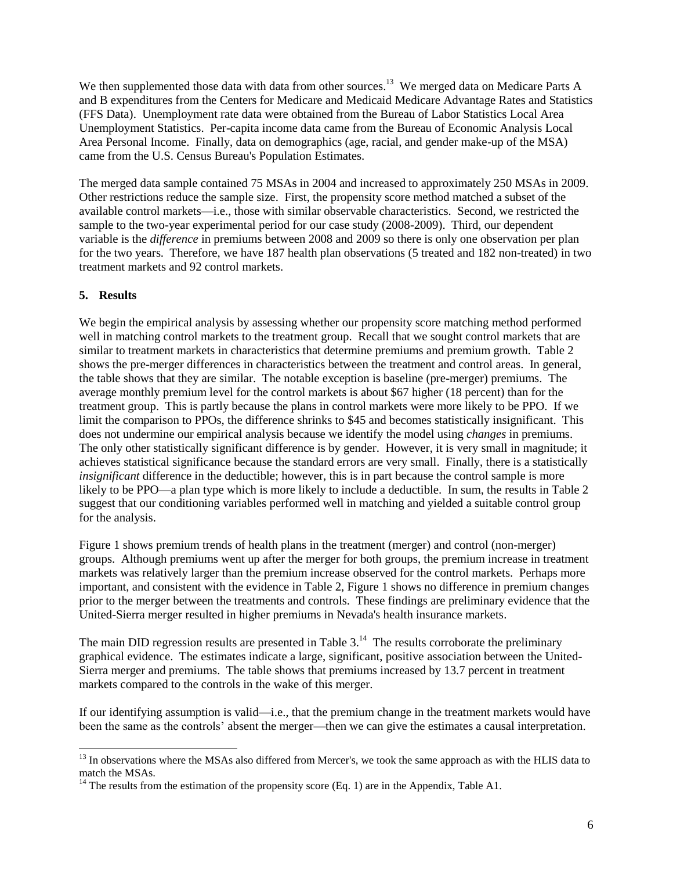We then supplemented those data with data from other sources.<sup>13</sup> We merged data on Medicare Parts A and B expenditures from the Centers for Medicare and Medicaid Medicare Advantage Rates and Statistics (FFS Data). Unemployment rate data were obtained from the Bureau of Labor Statistics Local Area Unemployment Statistics. Per-capita income data came from the Bureau of Economic Analysis Local Area Personal Income. Finally, data on demographics (age, racial, and gender make-up of the MSA) came from the U.S. Census Bureau's Population Estimates.

The merged data sample contained 75 MSAs in 2004 and increased to approximately 250 MSAs in 2009. Other restrictions reduce the sample size. First, the propensity score method matched a subset of the available control markets—i.e., those with similar observable characteristics. Second, we restricted the sample to the two-year experimental period for our case study (2008-2009). Third, our dependent variable is the *difference* in premiums between 2008 and 2009 so there is only one observation per plan for the two years. Therefore, we have 187 health plan observations (5 treated and 182 non-treated) in two treatment markets and 92 control markets.

## **5. Results**

l

We begin the empirical analysis by assessing whether our propensity score matching method performed well in matching control markets to the treatment group. Recall that we sought control markets that are similar to treatment markets in characteristics that determine premiums and premium growth. Table 2 shows the pre-merger differences in characteristics between the treatment and control areas. In general, the table shows that they are similar. The notable exception is baseline (pre-merger) premiums. The average monthly premium level for the control markets is about \$67 higher (18 percent) than for the treatment group. This is partly because the plans in control markets were more likely to be PPO. If we limit the comparison to PPOs, the difference shrinks to \$45 and becomes statistically insignificant. This does not undermine our empirical analysis because we identify the model using *changes* in premiums. The only other statistically significant difference is by gender. However, it is very small in magnitude; it achieves statistical significance because the standard errors are very small. Finally, there is a statistically *insignificant* difference in the deductible; however, this is in part because the control sample is more likely to be PPO—a plan type which is more likely to include a deductible. In sum, the results in Table 2 suggest that our conditioning variables performed well in matching and yielded a suitable control group for the analysis.

Figure 1 shows premium trends of health plans in the treatment (merger) and control (non-merger) groups. Although premiums went up after the merger for both groups, the premium increase in treatment markets was relatively larger than the premium increase observed for the control markets. Perhaps more important, and consistent with the evidence in Table 2, Figure 1 shows no difference in premium changes prior to the merger between the treatments and controls. These findings are preliminary evidence that the United-Sierra merger resulted in higher premiums in Nevada's health insurance markets.

The main DID regression results are presented in Table  $3<sup>14</sup>$ . The results corroborate the preliminary graphical evidence. The estimates indicate a large, significant, positive association between the United-Sierra merger and premiums. The table shows that premiums increased by 13.7 percent in treatment markets compared to the controls in the wake of this merger.

If our identifying assumption is valid—i.e., that the premium change in the treatment markets would have been the same as the controls' absent the merger—then we can give the estimates a causal interpretation.

<sup>&</sup>lt;sup>13</sup> In observations where the MSAs also differed from Mercer's, we took the same approach as with the HLIS data to match the MSAs.

 $14$  The results from the estimation of the propensity score (Eq. 1) are in the Appendix, Table A1.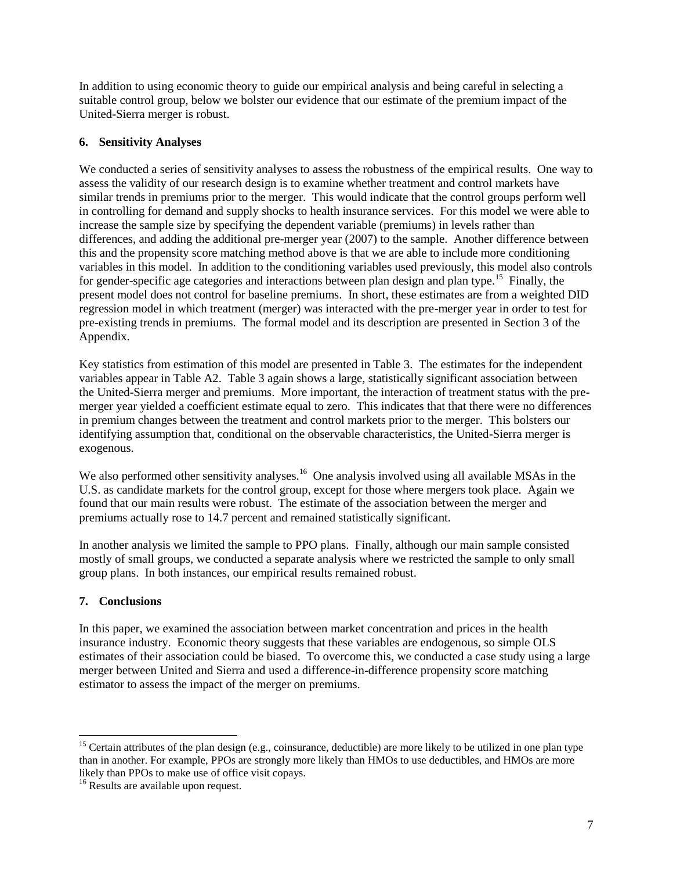In addition to using economic theory to guide our empirical analysis and being careful in selecting a suitable control group, below we bolster our evidence that our estimate of the premium impact of the United-Sierra merger is robust.

# **6. Sensitivity Analyses**

We conducted a series of sensitivity analyses to assess the robustness of the empirical results. One way to assess the validity of our research design is to examine whether treatment and control markets have similar trends in premiums prior to the merger. This would indicate that the control groups perform well in controlling for demand and supply shocks to health insurance services. For this model we were able to increase the sample size by specifying the dependent variable (premiums) in levels rather than differences, and adding the additional pre-merger year (2007) to the sample. Another difference between this and the propensity score matching method above is that we are able to include more conditioning variables in this model. In addition to the conditioning variables used previously, this model also controls for gender-specific age categories and interactions between plan design and plan type.<sup>15</sup> Finally, the present model does not control for baseline premiums. In short, these estimates are from a weighted DID regression model in which treatment (merger) was interacted with the pre-merger year in order to test for pre-existing trends in premiums. The formal model and its description are presented in Section 3 of the Appendix.

Key statistics from estimation of this model are presented in Table 3. The estimates for the independent variables appear in Table A2. Table 3 again shows a large, statistically significant association between the United-Sierra merger and premiums. More important, the interaction of treatment status with the premerger year yielded a coefficient estimate equal to zero. This indicates that that there were no differences in premium changes between the treatment and control markets prior to the merger. This bolsters our identifying assumption that, conditional on the observable characteristics, the United-Sierra merger is exogenous.

We also performed other sensitivity analyses.<sup>16</sup> One analysis involved using all available MSAs in the U.S. as candidate markets for the control group, except for those where mergers took place. Again we found that our main results were robust. The estimate of the association between the merger and premiums actually rose to 14.7 percent and remained statistically significant.

In another analysis we limited the sample to PPO plans. Finally, although our main sample consisted mostly of small groups, we conducted a separate analysis where we restricted the sample to only small group plans. In both instances, our empirical results remained robust.

# **7. Conclusions**

 $\overline{a}$ 

In this paper, we examined the association between market concentration and prices in the health insurance industry. Economic theory suggests that these variables are endogenous, so simple OLS estimates of their association could be biased. To overcome this, we conducted a case study using a large merger between United and Sierra and used a difference-in-difference propensity score matching estimator to assess the impact of the merger on premiums.

<sup>&</sup>lt;sup>15</sup> Certain attributes of the plan design (e.g., coinsurance, deductible) are more likely to be utilized in one plan type than in another. For example, PPOs are strongly more likely than HMOs to use deductibles, and HMOs are more likely than PPOs to make use of office visit copays.

<sup>&</sup>lt;sup>16</sup> Results are available upon request.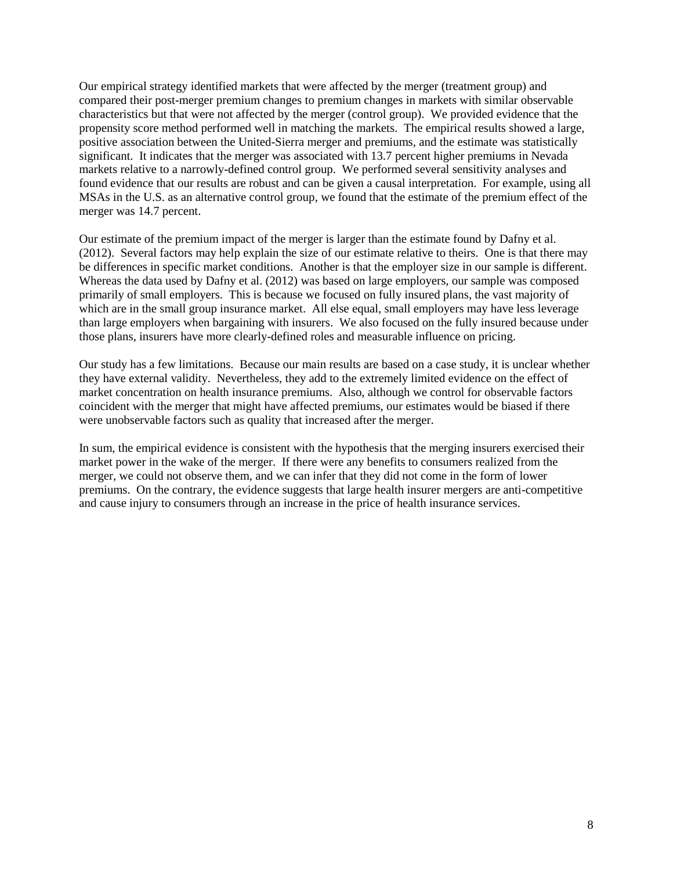Our empirical strategy identified markets that were affected by the merger (treatment group) and compared their post-merger premium changes to premium changes in markets with similar observable characteristics but that were not affected by the merger (control group). We provided evidence that the propensity score method performed well in matching the markets. The empirical results showed a large, positive association between the United-Sierra merger and premiums, and the estimate was statistically significant. It indicates that the merger was associated with 13.7 percent higher premiums in Nevada markets relative to a narrowly-defined control group. We performed several sensitivity analyses and found evidence that our results are robust and can be given a causal interpretation. For example, using all MSAs in the U.S. as an alternative control group, we found that the estimate of the premium effect of the merger was 14.7 percent.

Our estimate of the premium impact of the merger is larger than the estimate found by Dafny et al. (2012). Several factors may help explain the size of our estimate relative to theirs. One is that there may be differences in specific market conditions. Another is that the employer size in our sample is different. Whereas the data used by Dafny et al. (2012) was based on large employers, our sample was composed primarily of small employers. This is because we focused on fully insured plans, the vast majority of which are in the small group insurance market. All else equal, small employers may have less leverage than large employers when bargaining with insurers. We also focused on the fully insured because under those plans, insurers have more clearly-defined roles and measurable influence on pricing.

Our study has a few limitations. Because our main results are based on a case study, it is unclear whether they have external validity. Nevertheless, they add to the extremely limited evidence on the effect of market concentration on health insurance premiums. Also, although we control for observable factors coincident with the merger that might have affected premiums, our estimates would be biased if there were unobservable factors such as quality that increased after the merger.

In sum, the empirical evidence is consistent with the hypothesis that the merging insurers exercised their market power in the wake of the merger. If there were any benefits to consumers realized from the merger, we could not observe them, and we can infer that they did not come in the form of lower premiums. On the contrary, the evidence suggests that large health insurer mergers are anti-competitive and cause injury to consumers through an increase in the price of health insurance services.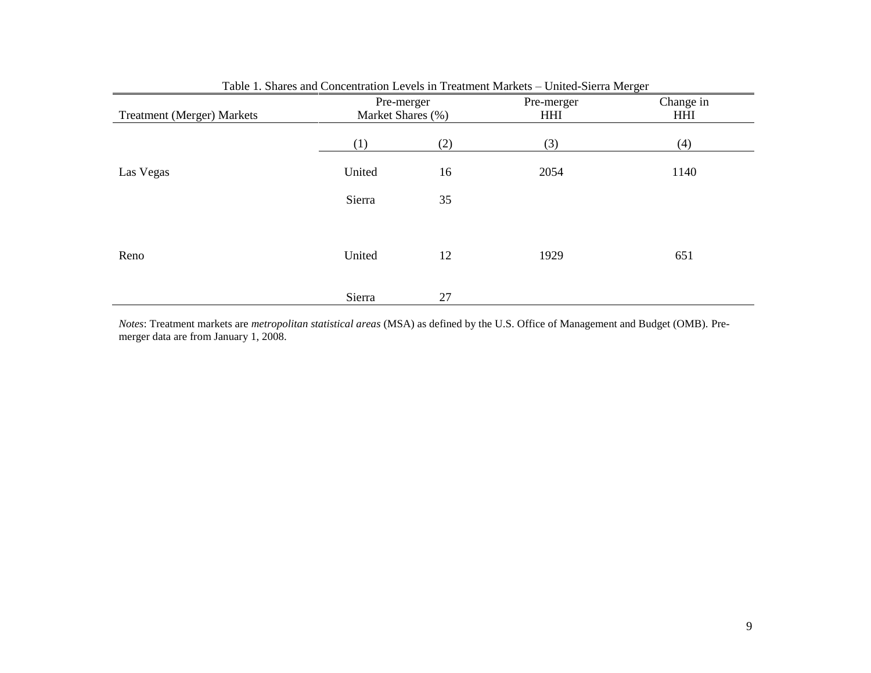| <b>Treatment (Merger) Markets</b> |        | Pre-merger<br>Market Shares (%) | Pre-merger<br>HHI | Change in<br><b>HHI</b> |
|-----------------------------------|--------|---------------------------------|-------------------|-------------------------|
|                                   | (1)    | (2)                             | (3)               | (4)                     |
| Las Vegas                         | United | 16                              | 2054              | 1140                    |
|                                   | Sierra | 35                              |                   |                         |
|                                   |        |                                 |                   |                         |
| Reno                              | United | 12                              | 1929              | 651                     |
|                                   | Sierra | 27                              |                   |                         |

Table 1. Shares and Concentration Levels in Treatment Markets – United-Sierra Merger

*Notes*: Treatment markets are *metropolitan statistical areas* (MSA) as defined by the U.S. Office of Management and Budget (OMB). Premerger data are from January 1, 2008.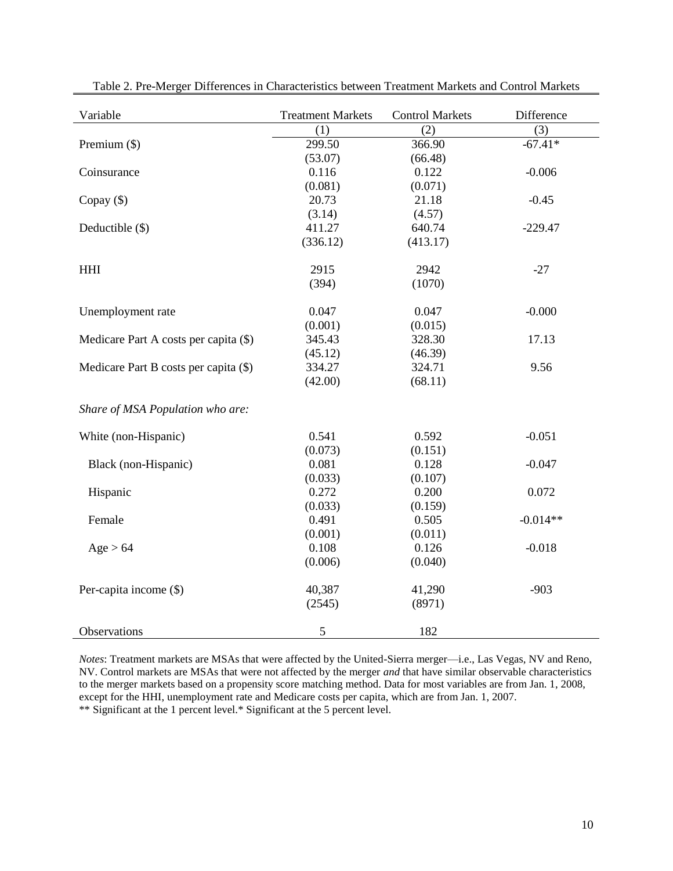| Variable                              | <b>Treatment Markets</b> | <b>Control Markets</b> | Difference |
|---------------------------------------|--------------------------|------------------------|------------|
|                                       | (1)                      | (2)                    | (3)        |
| Premium $(\$)$                        | 299.50                   | 366.90                 | $-67.41*$  |
|                                       | (53.07)                  | (66.48)                |            |
| Coinsurance                           | 0.116                    | 0.122                  | $-0.006$   |
|                                       | (0.081)                  | (0.071)                |            |
| Copay $(\$)$                          | 20.73                    | 21.18                  | $-0.45$    |
|                                       | (3.14)                   | (4.57)                 |            |
| Deductible (\$)                       | 411.27                   | 640.74                 | $-229.47$  |
|                                       | (336.12)                 | (413.17)               |            |
| <b>HHI</b>                            | 2915                     | 2942                   | $-27$      |
|                                       | (394)                    | (1070)                 |            |
| Unemployment rate                     | 0.047                    | 0.047                  | $-0.000$   |
|                                       | (0.001)                  | (0.015)                |            |
| Medicare Part A costs per capita (\$) | 345.43                   | 328.30                 | 17.13      |
|                                       | (45.12)                  | (46.39)                |            |
| Medicare Part B costs per capita (\$) | 334.27                   | 324.71                 | 9.56       |
|                                       | (42.00)                  | (68.11)                |            |
| Share of MSA Population who are:      |                          |                        |            |
| White (non-Hispanic)                  | 0.541                    | 0.592                  | $-0.051$   |
|                                       | (0.073)                  | (0.151)                |            |
| Black (non-Hispanic)                  | 0.081                    | 0.128                  | $-0.047$   |
|                                       | (0.033)                  | (0.107)                |            |
| Hispanic                              | 0.272                    | 0.200                  | 0.072      |
|                                       | (0.033)                  | (0.159)                |            |
| Female                                | 0.491                    | 0.505                  | $-0.014**$ |
|                                       | (0.001)                  | (0.011)                |            |
| Age > 64                              | 0.108                    | 0.126                  | $-0.018$   |
|                                       | (0.006)                  | (0.040)                |            |
| Per-capita income (\$)                | 40,387                   | 41,290                 | $-903$     |
|                                       | (2545)                   | (8971)                 |            |
| Observations                          | 5                        | 182                    |            |

Table 2. Pre-Merger Differences in Characteristics between Treatment Markets and Control Markets

*Notes*: Treatment markets are MSAs that were affected by the United-Sierra merger—i.e., Las Vegas, NV and Reno, NV. Control markets are MSAs that were not affected by the merger *and* that have similar observable characteristics to the merger markets based on a propensity score matching method. Data for most variables are from Jan. 1, 2008, except for the HHI, unemployment rate and Medicare costs per capita, which are from Jan. 1, 2007.

\*\* Significant at the 1 percent level.\* Significant at the 5 percent level.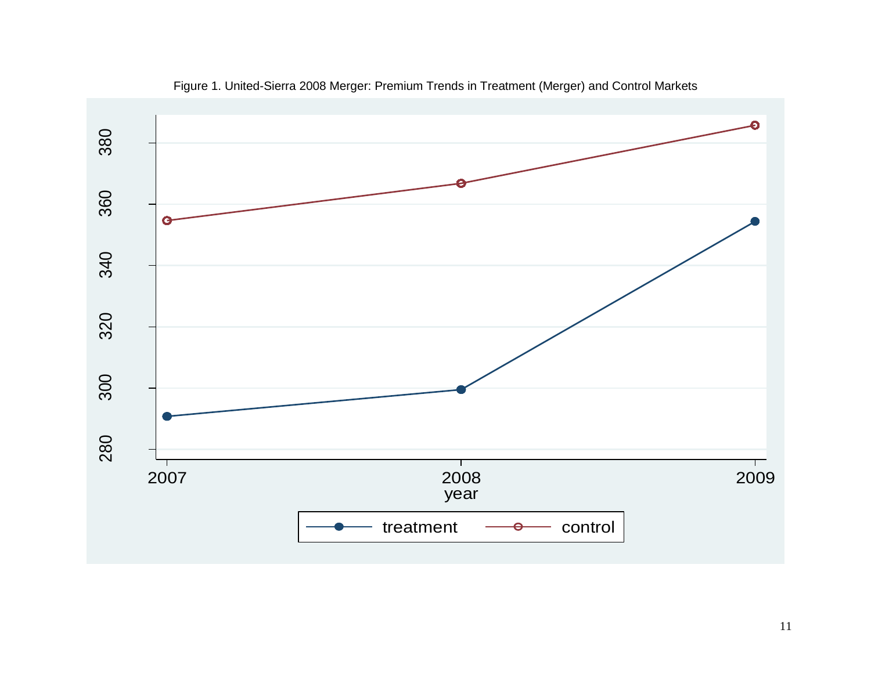

Figure 1. United-Sierra 2008 Merger: Premium Trends in Treatment (Merger) and Control Markets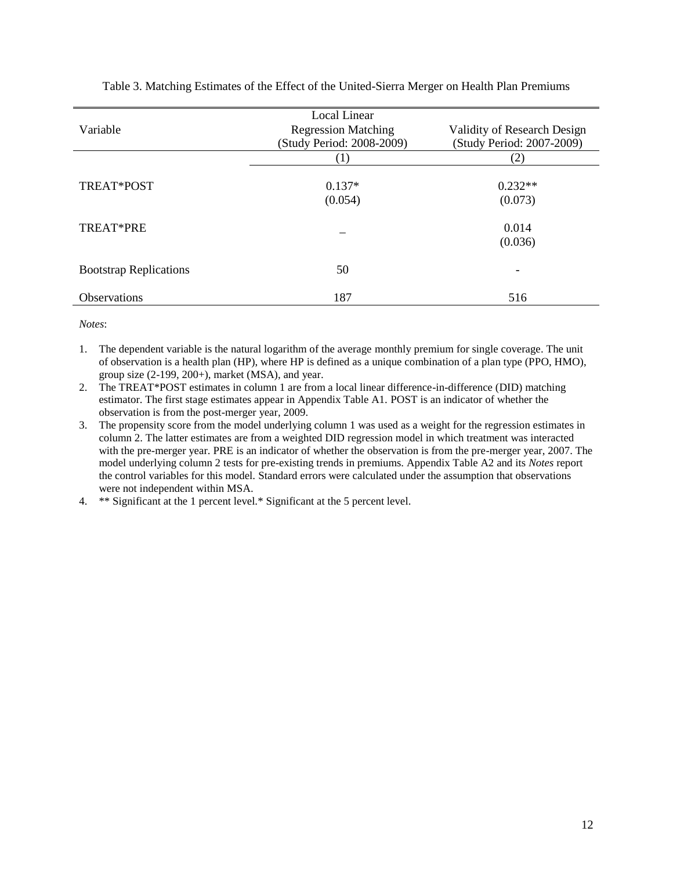|                               | Local Linear               |                             |
|-------------------------------|----------------------------|-----------------------------|
| Variable                      | <b>Regression Matching</b> | Validity of Research Design |
|                               | (Study Period: 2008-2009)  | (Study Period: 2007-2009)   |
|                               | (1)                        | (2)                         |
|                               |                            |                             |
| TREAT*POST                    | $0.137*$                   | $0.232**$                   |
|                               | (0.054)                    | (0.073)                     |
| TREAT*PRE                     |                            | 0.014                       |
|                               |                            |                             |
|                               |                            | (0.036)                     |
| <b>Bootstrap Replications</b> | 50                         |                             |
| Observations                  | 187                        | 516                         |

Table 3. Matching Estimates of the Effect of the United-Sierra Merger on Health Plan Premiums

*Notes*:

1. The dependent variable is the natural logarithm of the average monthly premium for single coverage. The unit of observation is a health plan (HP), where HP is defined as a unique combination of a plan type (PPO, HMO), group size (2-199, 200+), market (MSA), and year.

2. The TREAT\*POST estimates in column 1 are from a local linear difference-in-difference (DID) matching estimator. The first stage estimates appear in Appendix Table A1. POST is an indicator of whether the observation is from the post-merger year, 2009.

3. The propensity score from the model underlying column 1 was used as a weight for the regression estimates in column 2. The latter estimates are from a weighted DID regression model in which treatment was interacted with the pre-merger year. PRE is an indicator of whether the observation is from the pre-merger year, 2007. The model underlying column 2 tests for pre-existing trends in premiums. Appendix Table A2 and its *Notes* report the control variables for this model. Standard errors were calculated under the assumption that observations were not independent within MSA.

4. \*\* Significant at the 1 percent level.\* Significant at the 5 percent level.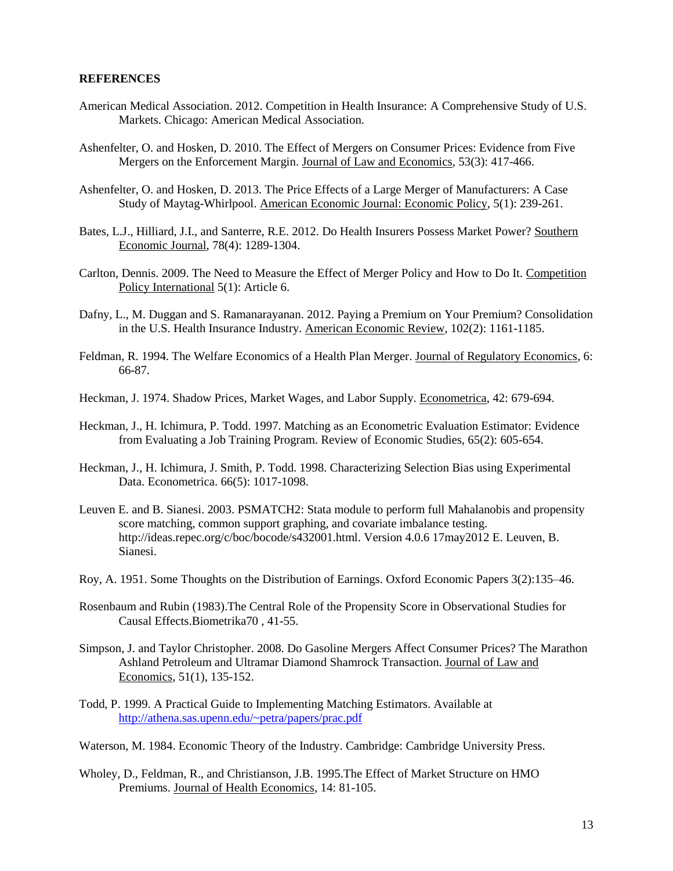#### **REFERENCES**

- American Medical Association. 2012. Competition in Health Insurance: A Comprehensive Study of U.S. Markets. Chicago: American Medical Association.
- Ashenfelter, O. and Hosken, D. 2010. The Effect of Mergers on Consumer Prices: Evidence from Five Mergers on the Enforcement Margin. Journal of Law and Economics, 53(3): 417-466.
- Ashenfelter, O. and Hosken, D. 2013. The Price Effects of a Large Merger of Manufacturers: A Case Study of Maytag-Whirlpool. American Economic Journal: Economic Policy, 5(1): 239-261.
- Bates, L.J., Hilliard, J.I., and Santerre, R.E. 2012. Do Health Insurers Possess Market Power? Southern Economic Journal, 78(4): 1289-1304.
- Carlton, Dennis. 2009. The Need to Measure the Effect of Merger Policy and How to Do It. Competition Policy International 5(1): Article 6.
- Dafny, L., M. Duggan and S. Ramanarayanan. 2012. Paying a Premium on Your Premium? Consolidation in the U.S. Health Insurance Industry. American Economic Review, 102(2): 1161-1185.
- Feldman, R. 1994. The Welfare Economics of a Health Plan Merger. Journal of Regulatory Economics, 6: 66-87.
- Heckman, J. 1974. Shadow Prices, Market Wages, and Labor Supply. Econometrica, 42: 679-694.
- Heckman, J., H. Ichimura, P. Todd. 1997. Matching as an Econometric Evaluation Estimator: Evidence from Evaluating a Job Training Program. Review of Economic Studies, 65(2): 605-654.
- Heckman, J., H. Ichimura, J. Smith, P. Todd. 1998. Characterizing Selection Bias using Experimental Data. Econometrica. 66(5): 1017-1098.
- Leuven E. and B. Sianesi. 2003. PSMATCH2: Stata module to perform full Mahalanobis and propensity score matching, common support graphing, and covariate imbalance testing. http://ideas.repec.org/c/boc/bocode/s432001.html. Version 4.0.6 17may2012 E. Leuven, B. Sianesi.
- Roy, A. 1951. Some Thoughts on the Distribution of Earnings. Oxford Economic Papers 3(2):135–46.
- Rosenbaum and Rubin (1983).The Central Role of the Propensity Score in Observational Studies for Causal Effects.Biometrika70 , 41-55.
- Simpson, J. and Taylor Christopher. 2008. Do Gasoline Mergers Affect Consumer Prices? The Marathon Ashland Petroleum and Ultramar Diamond Shamrock Transaction. Journal of Law and Economics, 51(1), 135-152.
- Todd, P. 1999. A Practical Guide to Implementing Matching Estimators. Available at <http://athena.sas.upenn.edu/~petra/papers/prac.pdf>

Waterson, M. 1984. Economic Theory of the Industry. Cambridge: Cambridge University Press.

Wholey, D., Feldman, R., and Christianson, J.B. 1995.The Effect of Market Structure on HMO Premiums. Journal of Health Economics, 14: 81-105.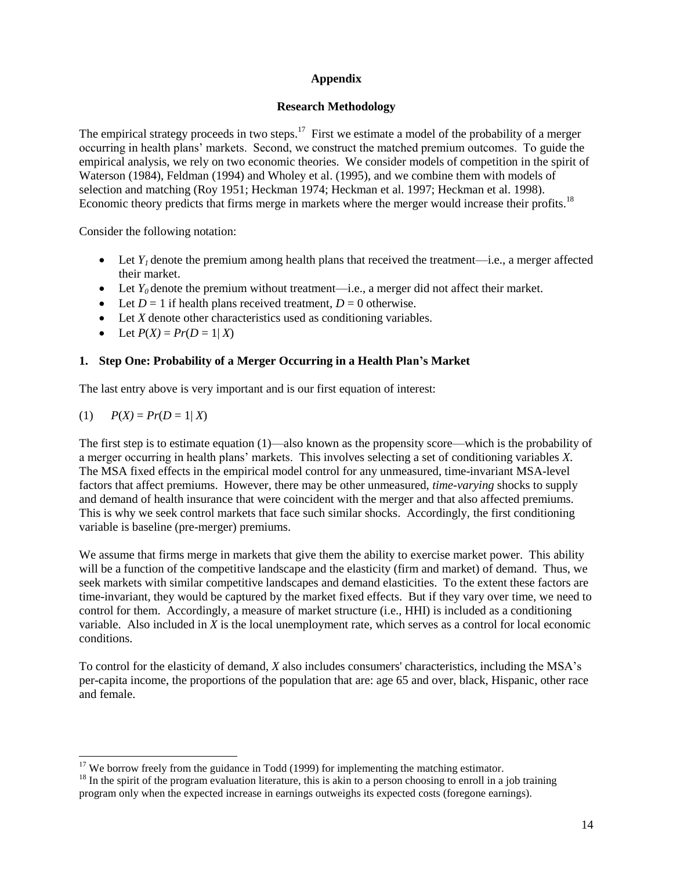# **Appendix**

## **Research Methodology**

The empirical strategy proceeds in two steps.<sup>17</sup> First we estimate a model of the probability of a merger occurring in health plans' markets. Second, we construct the matched premium outcomes. To guide the empirical analysis, we rely on two economic theories. We consider models of competition in the spirit of Waterson (1984), Feldman (1994) and Wholey et al. (1995), and we combine them with models of selection and matching (Roy 1951; Heckman 1974; Heckman et al. 1997; Heckman et al. 1998). Economic theory predicts that firms merge in markets where the merger would increase their profits.<sup>18</sup>

Consider the following notation:

- Let  $Y<sub>l</sub>$  denote the premium among health plans that received the treatment—i.e., a merger affected their market.
- Executive Let  $Y_0$  denote the premium without treatment—i.e., a merger did not affect their market.
- Let  $D = 1$  if health plans received treatment,  $D = 0$  otherwise.
- Let *X* denote other characteristics used as conditioning variables.
- Let  $P(X) = Pr(D = 1 | X)$

# **1. Step One: Probability of a Merger Occurring in a Health Plan's Market**

The last entry above is very important and is our first equation of interest:

(1) 
$$
P(X) = Pr(D = 1 | X)
$$

 $\overline{a}$ 

The first step is to estimate equation (1)—also known as the propensity score—which is the probability of a merger occurring in health plans' markets. This involves selecting a set of conditioning variables *X*. The MSA fixed effects in the empirical model control for any unmeasured, time-invariant MSA-level factors that affect premiums. However, there may be other unmeasured, *time-varying* shocks to supply and demand of health insurance that were coincident with the merger and that also affected premiums. This is why we seek control markets that face such similar shocks. Accordingly, the first conditioning variable is baseline (pre-merger) premiums.

We assume that firms merge in markets that give them the ability to exercise market power. This ability will be a function of the competitive landscape and the elasticity (firm and market) of demand. Thus, we seek markets with similar competitive landscapes and demand elasticities. To the extent these factors are time-invariant, they would be captured by the market fixed effects. But if they vary over time, we need to control for them. Accordingly, a measure of market structure (i.e., HHI) is included as a conditioning variable. Also included in *X* is the local unemployment rate, which serves as a control for local economic conditions.

To control for the elasticity of demand, *X* also includes consumers' characteristics, including the MSA's per-capita income, the proportions of the population that are: age 65 and over, black, Hispanic, other race and female.

 $17$  We borrow freely from the guidance in Todd (1999) for implementing the matching estimator.

 $18$  In the spirit of the program evaluation literature, this is akin to a person choosing to enroll in a job training program only when the expected increase in earnings outweighs its expected costs (foregone earnings).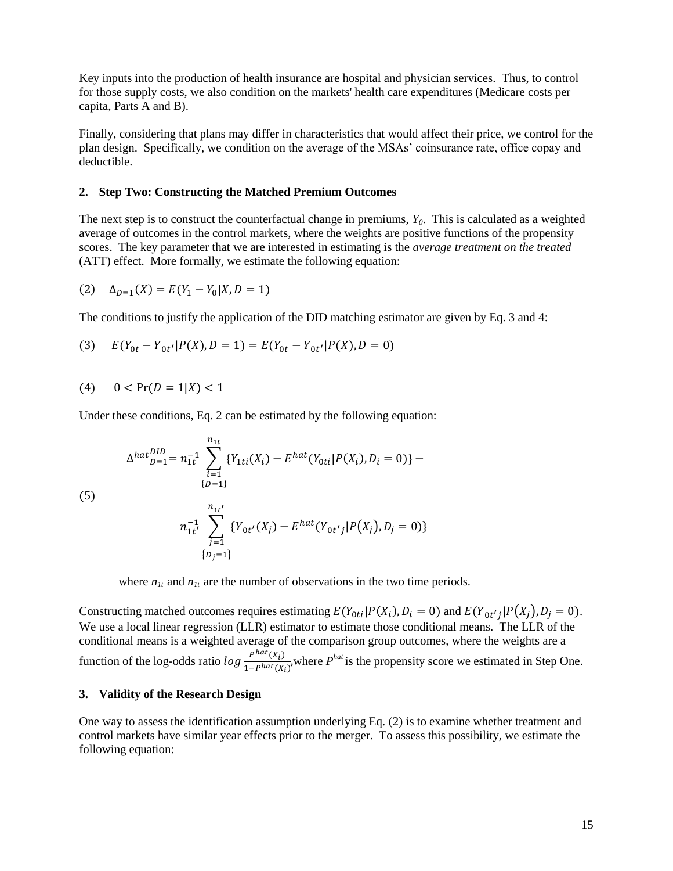Key inputs into the production of health insurance are hospital and physician services. Thus, to control for those supply costs, we also condition on the markets' health care expenditures (Medicare costs per capita, Parts A and B).

Finally, considering that plans may differ in characteristics that would affect their price, we control for the plan design. Specifically, we condition on the average of the MSAs' coinsurance rate, office copay and deductible.

#### **2. Step Two: Constructing the Matched Premium Outcomes**

The next step is to construct the counterfactual change in premiums, *Y0*. This is calculated as a weighted average of outcomes in the control markets, where the weights are positive functions of the propensity scores. The key parameter that we are interested in estimating is the *average treatment on the treated*  (ATT) effect. More formally, we estimate the following equation:

(2) 
$$
\Delta_{D=1}(X) = E(Y_1 - Y_0 | X, D = 1)
$$

The conditions to justify the application of the DID matching estimator are given by Eq. 3 and 4:

(3) 
$$
E(Y_{0t} - Y_{0t'}|P(X), D = 1) = E(Y_{0t} - Y_{0t'}|P(X), D = 0)
$$

(4) 
$$
0 < Pr(D = 1 | X) < 1
$$

Under these conditions, Eq. 2 can be estimated by the following equation:

$$
\Delta^{hat\{DID}}_{\substack{D=1}} = n_{1t}^{-1} \sum_{\substack{i=1\\ \{D=1\}}}^{n_{1t}} \{Y_{1ti}(X_i) - E^{hat}(Y_{0ti}|P(X_i), D_i = 0)\} -
$$

(5)

$$
n_{1t'}^{-1} \sum_{j=1}^{n_{1t'}} \{ Y_{0t'}(X_j) - E^{hat}(Y_{0t'j} | P(X_j), D_j = 0) \}
$$
  
{ $b_j = 1$ }

where  $n_{1t}$  and  $n_{1t}$  are the number of observations in the two time periods.

Constructing matched outcomes requires estimating  $E(Y_{0ti}|P(X_i), D_i = 0)$  and  $E(Y_{0t'}|P(X_j), D_j = 0)$ . We use a local linear regression (LLR) estimator to estimate those conditional means. The LLR of the conditional means is a weighted average of the comparison group outcomes, where the weights are a function of the log-odds ratio  $\log \frac{p^{hat(x_i)}}{1 - \frac{phot(x_i)}{2}}$  $\frac{P^{in}(X_i)}{1 - P^{hat}(X_i)}$ , where  $P^{hat}$  is the propensity score we estimated in Step One.

#### **3. Validity of the Research Design**

One way to assess the identification assumption underlying Eq. (2) is to examine whether treatment and control markets have similar year effects prior to the merger. To assess this possibility, we estimate the following equation: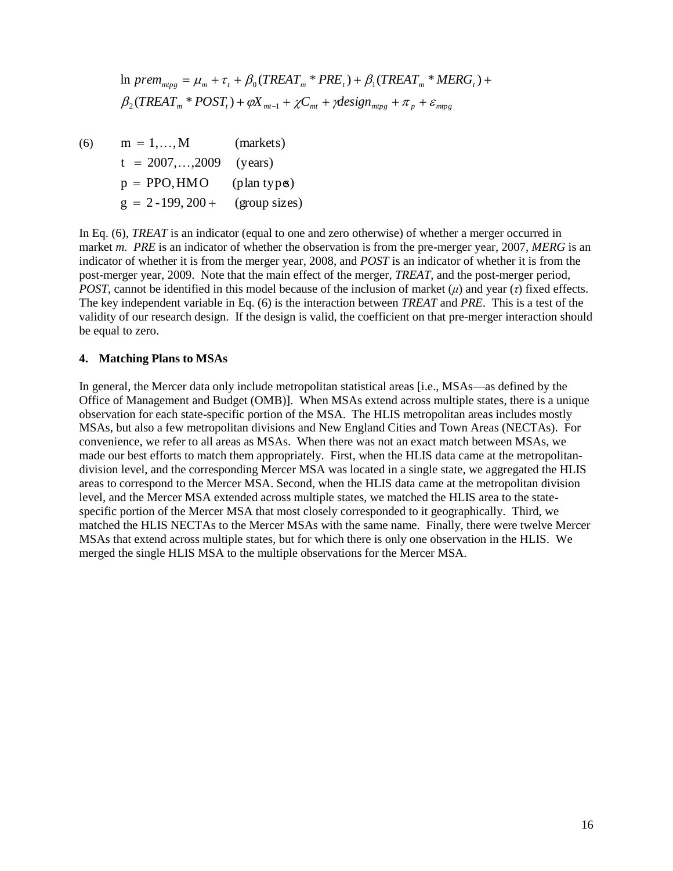In 
$$
prem_{mpg} = \mu_m + \tau_t + \beta_0 (TREAT_m * PRE_t) + \beta_1 (TREAL_m * MERG_t) + \beta_2 (TREAL_m * POST_t) + \varphi X_{mt-1} + \chi C_{mt} + \gamma design_{mpg} + \pi_p + \varepsilon_{mtpg}
$$

(6)  $g = 2 -199, 200 +$  (group sizes)  $p = PPO, HMO$  (plan types)  $t = 2007, \ldots, 2009$  (years)  $m = 1, \ldots, M$  (markets)

In Eq. (6), *TREAT* is an indicator (equal to one and zero otherwise) of whether a merger occurred in market *m*. *PRE* is an indicator of whether the observation is from the pre-merger year, 2007, *MERG* is an indicator of whether it is from the merger year, 2008, and *POST* is an indicator of whether it is from the post-merger year, 2009. Note that the main effect of the merger, *TREAT*, and the post-merger period, *POST*, cannot be identified in this model because of the inclusion of market (*μ*) and year (*τ*) fixed effects. The key independent variable in Eq. (6) is the interaction between *TREAT* and *PRE*. This is a test of the validity of our research design. If the design is valid, the coefficient on that pre-merger interaction should be equal to zero.

#### **4. Matching Plans to MSAs**

In general, the Mercer data only include metropolitan statistical areas [i.e., MSAs—as defined by the Office of Management and Budget (OMB)]. When MSAs extend across multiple states, there is a unique observation for each state-specific portion of the MSA. The HLIS metropolitan areas includes mostly MSAs, but also a few metropolitan divisions and New England Cities and Town Areas (NECTAs). For convenience, we refer to all areas as MSAs. When there was not an exact match between MSAs, we made our best efforts to match them appropriately. First, when the HLIS data came at the metropolitandivision level, and the corresponding Mercer MSA was located in a single state, we aggregated the HLIS areas to correspond to the Mercer MSA. Second, when the HLIS data came at the metropolitan division level, and the Mercer MSA extended across multiple states, we matched the HLIS area to the statespecific portion of the Mercer MSA that most closely corresponded to it geographically. Third, we matched the HLIS NECTAs to the Mercer MSAs with the same name. Finally, there were twelve Mercer MSAs that extend across multiple states, but for which there is only one observation in the HLIS. We merged the single HLIS MSA to the multiple observations for the Mercer MSA.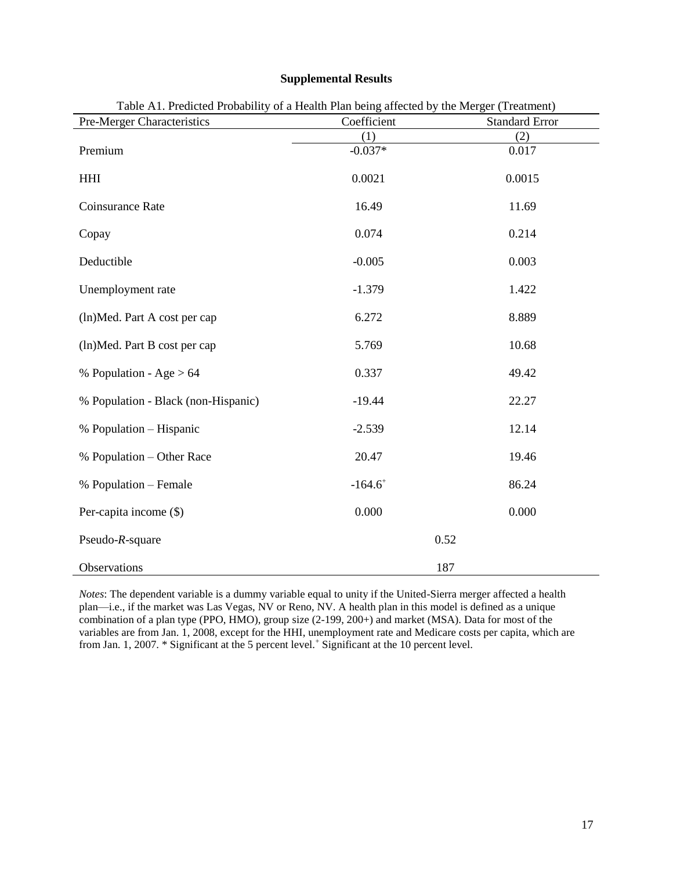| Pre-Merger Characteristics          | Coefficient           | <b>Standard Error</b> |
|-------------------------------------|-----------------------|-----------------------|
|                                     | (1)                   | (2)                   |
| Premium                             | $-0.037*$             | 0.017                 |
| $\mathop{\rm HHI}\nolimits$         | 0.0021                | 0.0015                |
| Coinsurance Rate                    | 16.49                 | 11.69                 |
| Copay                               | 0.074                 | 0.214                 |
| Deductible                          | $-0.005$              | 0.003                 |
| Unemployment rate                   | $-1.379$              | 1.422                 |
| (ln)Med. Part A cost per cap        | 6.272                 | 8.889                 |
| (ln)Med. Part B cost per cap        | 5.769                 | 10.68                 |
| % Population - Age $> 64$           | 0.337                 | 49.42                 |
| % Population - Black (non-Hispanic) | $-19.44$              | 22.27                 |
| % Population - Hispanic             | $-2.539$              | 12.14                 |
| % Population – Other Race           | 20.47                 | 19.46                 |
| % Population – Female               | $-164.6$ <sup>+</sup> | 86.24                 |
| Per-capita income (\$)              | 0.000                 | 0.000                 |
| Pseudo- $R$ -square                 |                       | 0.52                  |
| Observations                        |                       | 187                   |

## **Supplemental Results**

Table A1. Predicted Probability of a Health Plan being affected by the Merger (Treatment)

*Notes*: The dependent variable is a dummy variable equal to unity if the United-Sierra merger affected a health plan—i.e., if the market was Las Vegas, NV or Reno, NV. A health plan in this model is defined as a unique combination of a plan type (PPO, HMO), group size (2-199, 200+) and market (MSA). Data for most of the variables are from Jan. 1, 2008, except for the HHI, unemployment rate and Medicare costs per capita, which are from Jan. 1, 2007. \* Significant at the 5 percent level.<sup>+</sup> Significant at the 10 percent level.